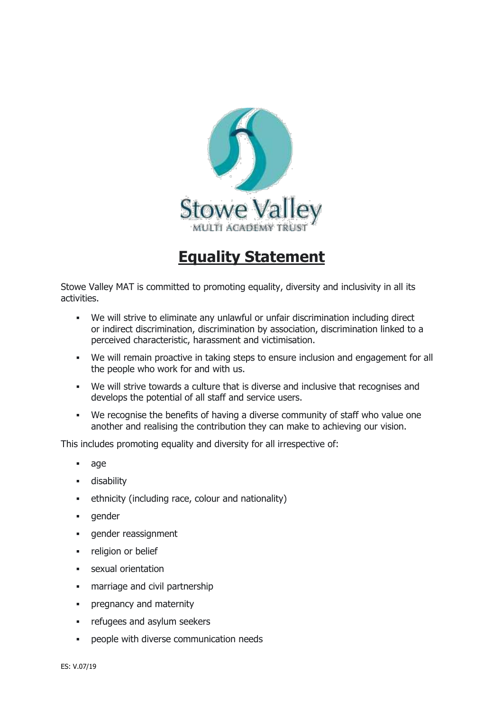

## **Equality Statement**

Stowe Valley MAT is committed to promoting equality, diversity and inclusivity in all its activities.

- We will strive to eliminate any unlawful or unfair discrimination including direct or indirect discrimination, discrimination by association, discrimination linked to a perceived characteristic, harassment and victimisation.
- We will remain proactive in taking steps to ensure inclusion and engagement for all the people who work for and with us.
- We will strive towards a culture that is diverse and inclusive that recognises and develops the potential of all staff and service users.
- We recognise the benefits of having a diverse community of staff who value one another and realising the contribution they can make to achieving our vision.

This includes promoting equality and diversity for all irrespective of:

- age
- disability
- ethnicity (including race, colour and nationality)
- gender
- gender reassignment
- **·** religion or belief
- sexual orientation
- **•** marriage and civil partnership
- **•** pregnancy and maternity
- **•** refugees and asylum seekers
- people with diverse communication needs